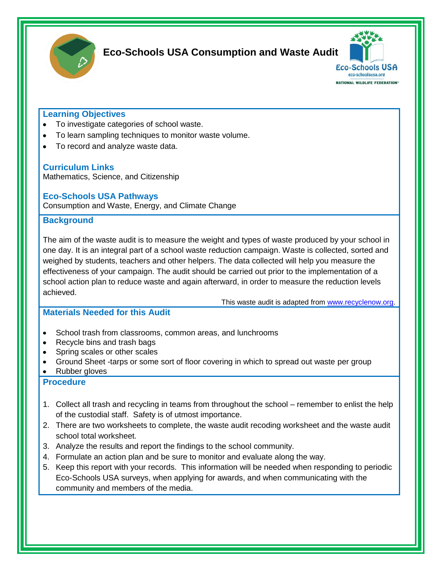

### **Eco-Schools USA Consumption and Waste Audit**



#### **Learning Objectives**

- To investigate categories of school waste.
- To learn sampling techniques to monitor waste volume.
- To record and analyze waste data.

#### **Curriculum Links**

Mathematics, Science, and Citizenship

#### **Eco-Schools USA Pathways**

Consumption and Waste, Energy, and Climate Change

#### **Background**

The aim of the waste audit is to measure the weight and types of waste produced by your school in one day. It is an integral part of a school waste reduction campaign. Waste is collected, sorted and weighed by students, teachers and other helpers. The data collected will help you measure the effectiveness of your campaign. The audit should be carried out prior to the implementation of a school action plan to reduce waste and again afterward, in order to measure the reduction levels achieved.

This waste audit is adapted from [www.recyclenow.org.](http://www.recyclenow.org/)

#### **Materials Needed for this Audit**

- School trash from classrooms, common areas, and lunchrooms
- Recycle bins and trash bags
- Spring scales or other scales
- Ground Sheet -tarps or some sort of floor covering in which to spread out waste per group
- Rubber gloves

#### **Procedure**

- 1. Collect all trash and recycling in teams from throughout the school remember to enlist the help of the custodial staff. Safety is of utmost importance.
- 2. There are two worksheets to complete, the waste audit recoding worksheet and the waste audit school total worksheet.
- 3. Analyze the results and report the findings to the school community.
- 4. Formulate an action plan and be sure to monitor and evaluate along the way.
- 5. Keep this report with your records. This information will be needed when responding to periodic Eco-Schools USA surveys, when applying for awards, and when communicating with the community and members of the media.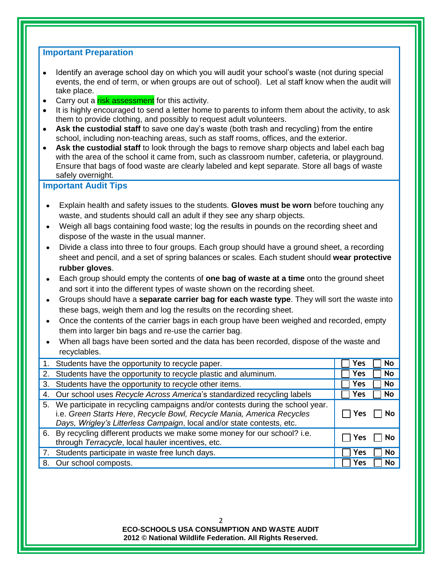#### **Important Preparation**

- Identify an average school day on which you will audit your school's waste (not during special events, the end of term, or when groups are out of school). Let al staff know when the audit will take place.
- Carry out a risk assessment for this activity.
- It is highly encouraged to send a letter home to parents to inform them about the activity, to ask them to provide clothing, and possibly to request adult volunteers.
- **Ask the custodial staff** to save one day's waste (both trash and recycling) from the entire  $\bullet$ school, including non-teaching areas, such as staff rooms, offices, and the exterior.
- **Ask the custodial staff** to look through the bags to remove sharp objects and label each bag  $\bullet$ with the area of the school it came from, such as classroom number, cafeteria, or playground. Ensure that bags of food waste are clearly labeled and kept separate. Store all bags of waste safely overnight.

#### **Important Audit Tips**

- Explain health and safety issues to the students. **Gloves must be worn** before touching any waste, and students should call an adult if they see any sharp objects.
- Weigh all bags containing food waste; log the results in pounds on the recording sheet and dispose of the waste in the usual manner.
- Divide a class into three to four groups. Each group should have a ground sheet, a recording sheet and pencil, and a set of spring balances or scales. Each student should **wear protective rubber gloves**.
- Each group should empty the contents of **one bag of waste at a time** onto the ground sheet and sort it into the different types of waste shown on the recording sheet.
- Groups should have a **separate carrier bag for each waste type**. They will sort the waste into these bags, weigh them and log the results on the recording sheet.
- Once the contents of the carrier bags in each group have been weighed and recorded, empty them into larger bin bags and re-use the carrier bag.
- When all bags have been sorted and the data has been recorded, dispose of the waste and recyclables.

|    | 1. Students have the opportunity to recycle paper.                                                                                                                                                                               | Yes<br>No        |
|----|----------------------------------------------------------------------------------------------------------------------------------------------------------------------------------------------------------------------------------|------------------|
|    | 2. Students have the opportunity to recycle plastic and aluminum.                                                                                                                                                                | Yes<br>No        |
|    | 3. Students have the opportunity to recycle other items.                                                                                                                                                                         | Yes<br><b>No</b> |
|    | 4. Our school uses Recycle Across America's standardized recycling labels                                                                                                                                                        | Yes<br>No        |
| 5. | We participate in recycling campaigns and/or contests during the school year.<br>i.e. Green Starts Here, Recycle Bowl, Recycle Mania, America Recycles<br>Days, Wrigley's Litterless Campaign, local and/or state contests, etc. | Yes              |
|    | 6. By recycling different products we make some money for our school? i.e.<br>through Terracycle, local hauler incentives, etc.                                                                                                  | Y es             |
|    | 7. Students participate in waste free lunch days.                                                                                                                                                                                | Yes<br>No        |
| 8. | Our school composts.                                                                                                                                                                                                             | Yes<br>No        |

#### **ECO-SCHOOLS USA CONSUMPTION AND WASTE AUDIT 2012 © National Wildlife Federation. All Rights Reserved.**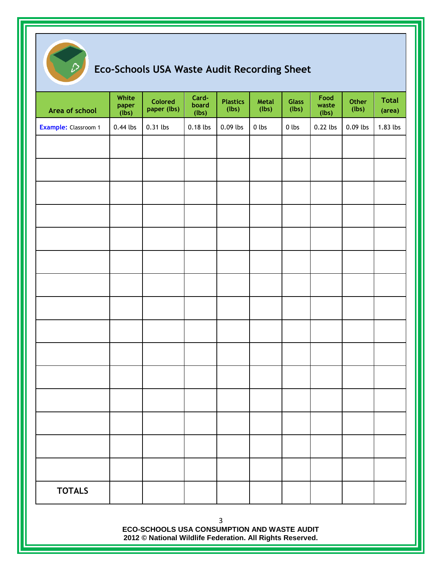

# **Eco-Schools USA Waste Audit Recording Sheet**

| Area of school              | White<br>paper<br>(lbs) | <b>Colored</b><br>paper (lbs)                                                                            | Card-<br>board<br>(lbs) | <b>Plastics</b><br>(lbs) | Metal<br>(lbs) | <b>Glass</b><br>(lbs) | Food<br>waste<br>(lbs) | Other<br>(lbs) | <b>Total</b><br>(area) |
|-----------------------------|-------------------------|----------------------------------------------------------------------------------------------------------|-------------------------|--------------------------|----------------|-----------------------|------------------------|----------------|------------------------|
| <b>Example:</b> Classroom 1 | $0.44$ lbs              | 0.31 lbs                                                                                                 | 0.18 lbs                | 0.09 lbs                 | $0$ lbs        | $0$ lbs               | 0.22 lbs               | $0.09$ lbs     | 1.83 lbs               |
|                             |                         |                                                                                                          |                         |                          |                |                       |                        |                |                        |
|                             |                         |                                                                                                          |                         |                          |                |                       |                        |                |                        |
|                             |                         |                                                                                                          |                         |                          |                |                       |                        |                |                        |
|                             |                         |                                                                                                          |                         |                          |                |                       |                        |                |                        |
|                             |                         |                                                                                                          |                         |                          |                |                       |                        |                |                        |
|                             |                         |                                                                                                          |                         |                          |                |                       |                        |                |                        |
|                             |                         |                                                                                                          |                         |                          |                |                       |                        |                |                        |
|                             |                         |                                                                                                          |                         |                          |                |                       |                        |                |                        |
|                             |                         |                                                                                                          |                         |                          |                |                       |                        |                |                        |
|                             |                         |                                                                                                          |                         |                          |                |                       |                        |                |                        |
|                             |                         |                                                                                                          |                         |                          |                |                       |                        |                |                        |
|                             |                         |                                                                                                          |                         |                          |                |                       |                        |                |                        |
|                             |                         |                                                                                                          |                         |                          |                |                       |                        |                |                        |
|                             |                         |                                                                                                          |                         |                          |                |                       |                        |                |                        |
|                             |                         |                                                                                                          |                         |                          |                |                       |                        |                |                        |
| <b>TOTALS</b>               |                         |                                                                                                          |                         |                          |                |                       |                        |                |                        |
|                             |                         | ECO-SCHOOLS USA CONSUMPTION AND WASTE AUDIT<br>2012 © National Wildlife Federation. All Rights Reserved. |                         | 3                        |                |                       |                        |                |                        |